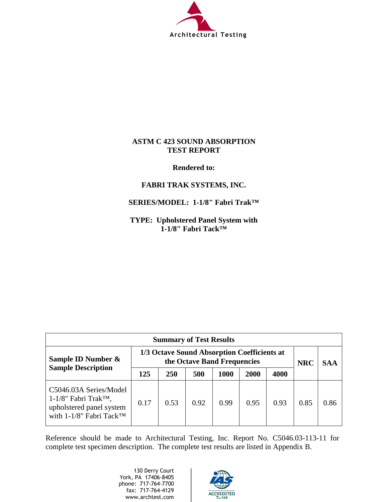

#### **ASTM C 423 SOUND ABSORPTION TEST REPORT**

**Rendered to:**

### **FABRI TRAK SYSTEMS, INC.**

#### **SERIES/MODEL: 1-1/8" Fabri Trak™**

**TYPE: Upholstered Panel System with 1-1/8" Fabri Tack™** 

| <b>Summary of Test Results</b>                                                                                                        |                                                                            |            |      |      |      |      |            |            |
|---------------------------------------------------------------------------------------------------------------------------------------|----------------------------------------------------------------------------|------------|------|------|------|------|------------|------------|
| Sample ID Number &                                                                                                                    | 1/3 Octave Sound Absorption Coefficients at<br>the Octave Band Frequencies |            |      |      |      |      | <b>NRC</b> | <b>SAA</b> |
| <b>Sample Description</b>                                                                                                             | 125                                                                        | <b>250</b> | 500  | 1000 | 2000 | 4000 |            |            |
| C5046.03A Series/Model<br>$1-1/8$ " Fabri Trak <sup>TM</sup> ,<br>upholstered panel system<br>with $1-1/8$ " Fabri Tack <sup>TM</sup> | 0.17                                                                       | 0.53       | 0.92 | 0.99 | 0.95 | 0.93 | 0.85       | 0.86       |

Reference should be made to Architectural Testing, Inc. Report No. C5046.03-113-11 for complete test specimen description. The complete test results are listed in Appendix B.

> 130 Derry Court York, PA 17406-8405 phone: 717-764-7700 fax: 717-764-4129 www.archtest.com

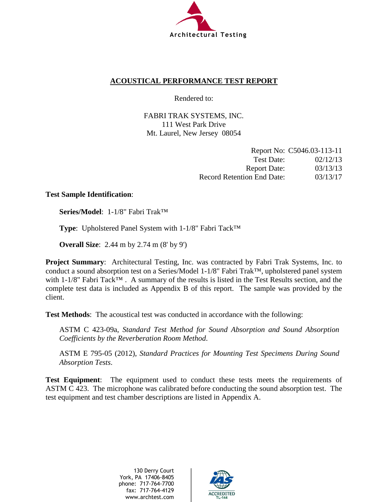

#### **ACOUSTICAL PERFORMANCE TEST REPORT**

Rendered to:

FABRI TRAK SYSTEMS, INC. 111 West Park Drive Mt. Laurel, New Jersey 08054

|                                   | Report No: C5046.03-113-11 |
|-----------------------------------|----------------------------|
| Test Date:                        | 02/12/13                   |
| <b>Report Date:</b>               | 03/13/13                   |
| <b>Record Retention End Date:</b> | 03/13/17                   |

#### **Test Sample Identification**:

**Series/Model**: 1-1/8" Fabri Trak™

**Type**: Upholstered Panel System with 1-1/8" Fabri Tack™

**Overall Size**: 2.44 m by 2.74 m (8' by 9')

**Project Summary**: Architectural Testing, Inc. was contracted by Fabri Trak Systems, Inc. to conduct a sound absorption test on a Series/Model 1-1/8" Fabri Trak™, upholstered panel system with 1-1/8" Fabri Tack<sup>™</sup>. A summary of the results is listed in the Test Results section, and the complete test data is included as Appendix B of this report. The sample was provided by the client.

**Test Methods**: The acoustical test was conducted in accordance with the following:

ASTM C 423-09a, *Standard Test Method for Sound Absorption and Sound Absorption Coefficients by the Reverberation Room Method*.

ASTM E 795-05 (2012), *Standard Practices for Mounting Test Specimens During Sound Absorption Tests*.

**Test Equipment**: The equipment used to conduct these tests meets the requirements of ASTM C 423. The microphone was calibrated before conducting the sound absorption test. The test equipment and test chamber descriptions are listed in Appendix A.

> 130 Derry Court York, PA 17406-8405 phone: 717-764-7700 fax: 717-764-4129 www.archtest.com

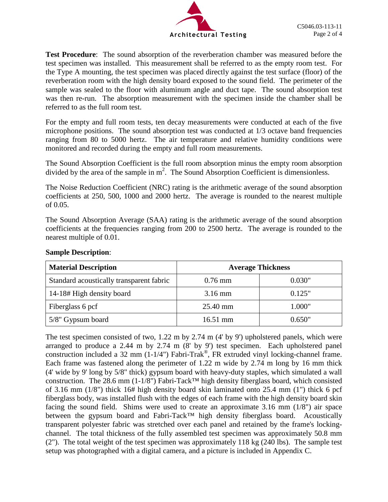

**Test Procedure**: The sound absorption of the reverberation chamber was measured before the test specimen was installed. This measurement shall be referred to as the empty room test. For the Type A mounting, the test specimen was placed directly against the test surface (floor) of the reverberation room with the high density board exposed to the sound field. The perimeter of the sample was sealed to the floor with aluminum angle and duct tape. The sound absorption test was then re-run. The absorption measurement with the specimen inside the chamber shall be referred to as the full room test.

For the empty and full room tests, ten decay measurements were conducted at each of the five microphone positions. The sound absorption test was conducted at 1/3 octave band frequencies ranging from 80 to 5000 hertz. The air temperature and relative humidity conditions were monitored and recorded during the empty and full room measurements.

The Sound Absorption Coefficient is the full room absorption minus the empty room absorption divided by the area of the sample in  $m^2$ . The Sound Absorption Coefficient is dimensionless.

The Noise Reduction Coefficient (NRC) rating is the arithmetic average of the sound absorption coefficients at 250, 500, 1000 and 2000 hertz. The average is rounded to the nearest multiple of 0.05.

The Sound Absorption Average (SAA) rating is the arithmetic average of the sound absorption coefficients at the frequencies ranging from 200 to 2500 hertz. The average is rounded to the nearest multiple of 0.01.

| <b>Material Description</b>              | <b>Average Thickness</b> |        |  |
|------------------------------------------|--------------------------|--------|--|
| Standard acoustically transparent fabric | $0.76$ mm                | 0.030" |  |
| 14-18# High density board                | $3.16 \text{ mm}$        | 0.125" |  |
| Fiberglass 6 pcf                         | 25.40 mm                 | 1.000" |  |
| 5/8" Gypsum board                        | $16.51$ mm               | 0.650" |  |

#### **Sample Description**:

The test specimen consisted of two, 1.22 m by 2.74 m (4' by 9') upholstered panels, which were arranged to produce a 2.44 m by 2.74 m (8' by 9') test specimen. Each upholstered panel construction included a 32 mm (1-1/4") Fabri-Trak®, FR extruded vinyl locking-channel frame. Each frame was fastened along the perimeter of 1.22 m wide by 2.74 m long by 16 mm thick (4' wide by 9' long by 5/8" thick) gypsum board with heavy-duty staples, which simulated a wall construction. The 28.6 mm (1-1/8") Fabri-Tack™ high density fiberglass board, which consisted of 3.16 mm (1/8") thick 16# high density board skin laminated onto 25.4 mm (1") thick 6 pcf fiberglass body, was installed flush with the edges of each frame with the high density board skin facing the sound field. Shims were used to create an approximate 3.16 mm (1/8") air space between the gypsum board and Fabri-Tack<sup>™</sup> high density fiberglass board. Acoustically transparent polyester fabric was stretched over each panel and retained by the frame's lockingchannel. The total thickness of the fully assembled test specimen was approximately 50.8 mm (2"). The total weight of the test specimen was approximately 118 kg (240 lbs). The sample test setup was photographed with a digital camera, and a picture is included in Appendix C.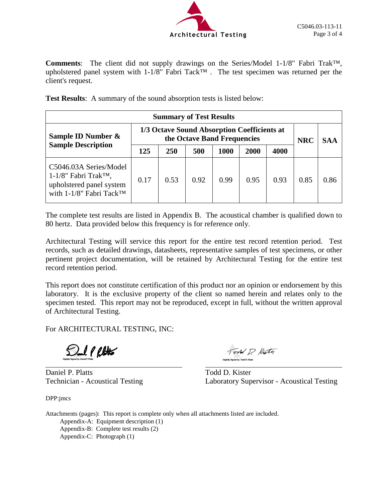

**Comments**: The client did not supply drawings on the Series/Model 1-1/8" Fabri Trak™, upholstered panel system with 1-1/8" Fabri Tack™ . The test specimen was returned per the client's request.

**Test Results**: A summary of the sound absorption tests is listed below:

| <b>Summary of Test Results</b>                                                                                        |                                                                            |      |      |      |      |      |            |      |
|-----------------------------------------------------------------------------------------------------------------------|----------------------------------------------------------------------------|------|------|------|------|------|------------|------|
| Sample ID Number &                                                                                                    | 1/3 Octave Sound Absorption Coefficients at<br>the Octave Band Frequencies |      |      |      |      |      | <b>NRC</b> | SAA  |
| <b>Sample Description</b>                                                                                             | 125                                                                        | 250  | 500  | 1000 | 2000 | 4000 |            |      |
| C5046.03A Series/Model<br>$1-1/8$ " Fabri Trak <sup>TM</sup> ,<br>upholstered panel system<br>with 1-1/8" Fabri Tack™ | 0.17                                                                       | 0.53 | 0.92 | 0.99 | 0.95 | 0.93 | 0.85       | 0.86 |

The complete test results are listed in Appendix B. The acoustical chamber is qualified down to 80 hertz. Data provided below this frequency is for reference only.

Architectural Testing will service this report for the entire test record retention period. Test records, such as detailed drawings, datasheets, representative samples of test specimens, or other pertinent project documentation, will be retained by Architectural Testing for the entire test record retention period.

This report does not constitute certification of this product nor an opinion or endorsement by this laboratory. It is the exclusive property of the client so named herein and relates only to the specimen tested. This report may not be reproduced, except in full, without the written approval of Architectural Testing.

For ARCHITECTURAL TESTING, INC:

**Sul PROUS** 

Daniel P. Platts Todd D. Kister

DPP:jmcs

Tord P. Kistn

Technician - Acoustical Testing Laboratory Supervisor - Acoustical Testing

Attachments (pages): This report is complete only when all attachments listed are included. Appendix-A: Equipment description (1) Appendix-B: Complete test results (2) Appendix-C: Photograph (1)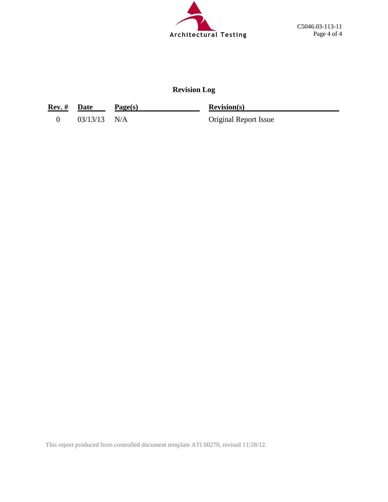

## **Revision Log**

| <b>Rev.</b> # Date |                | Page(s) | <b>Revision(s)</b>           |
|--------------------|----------------|---------|------------------------------|
|                    | $03/13/13$ N/A |         | <b>Original Report Issue</b> |

This report produced from controlled document template ATI 00270, revised 11/28/12.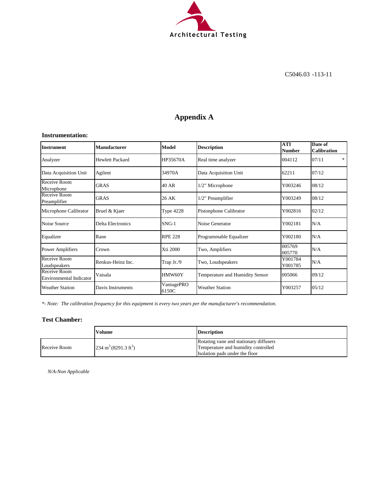

## **Appendix A**

#### **Instrumentation:**

| <b>Instrument</b>                              | <b>Manufacturer</b>      | Model               | <b>Description</b>              | <b>ATI</b><br><b>Number</b> | Date of<br><b>Calibration</b> |
|------------------------------------------------|--------------------------|---------------------|---------------------------------|-----------------------------|-------------------------------|
| Analyzer                                       | <b>Hewlett Packard</b>   | HP35670A            | Real time analyzer              | 004112                      | 07/11<br>*                    |
| Data Acquisition Unit                          | Agilent                  | 34970A              | Data Acquisition Unit           | 62211                       | 07/12                         |
| Receive Room<br>Microphone                     | <b>GRAS</b>              | 40 AR               | 1/2" Microphone                 | Y003246                     | 08/12                         |
| Receive Room<br>Preamplifier                   | <b>GRAS</b>              | 26 AK               | 1/2" Preamplifier               | Y003249                     | 08/12                         |
| Microphone Calibrator                          | Bruel & Kjaer            | <b>Type 4228</b>    | Pistonphone Calibrator          | Y002816                     | 02/12                         |
| Noise Source                                   | <b>Delta Electronics</b> | $SNG-1$             | Noise Generator                 | Y002181                     | N/A                           |
| Equalizer                                      | Rane                     | <b>RPE 228</b>      | Programmable Equalizer          | Y002180                     | N/A                           |
| <b>Power Amplifiers</b>                        | Crown                    | Xti 2000            | Two, Amplifiers                 | 005769<br>005770            | N/A                           |
| Receive Room<br>Loudspeakers                   | Renkus-Heinz Inc.        | Trap Jr./9          | Two, Loudspeakers               | Y001784<br>Y001785          | N/A                           |
| Receive Room<br><b>Environmental Indicator</b> | Vaisala                  | HMW60Y              | Temperature and Humidity Sensor | 005066                      | 09/12                         |
| <b>Weather Station</b>                         | Davis Instruments        | VantagePRO<br>6150C | <b>Weather Station</b>          | Y003257                     | 05/12                         |

*\*- Note: The calibration frequency for this equipment is every two years per the manufacturer's recommendation.*

#### **Test Chamber:**

|              | Volume                                  | <b>Description</b>                     |
|--------------|-----------------------------------------|----------------------------------------|
|              |                                         | Rotating vane and stationary diffusers |
| Receive Room | $234 \text{ m}^3 (8291.3 \text{ ft}^3)$ | Temperature and humidity controlled    |
|              |                                         | Isolation pads under the floor         |

*N/A-Non Applicable*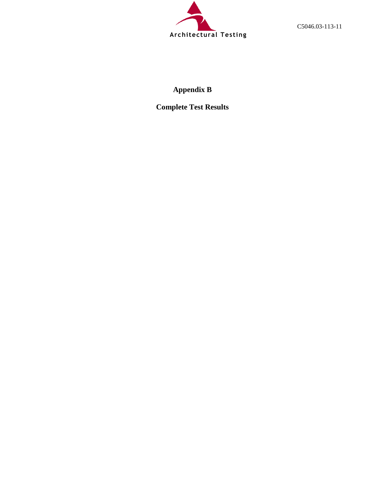

C5046.03-113-11

## **Appendix B**

**Complete Test Results**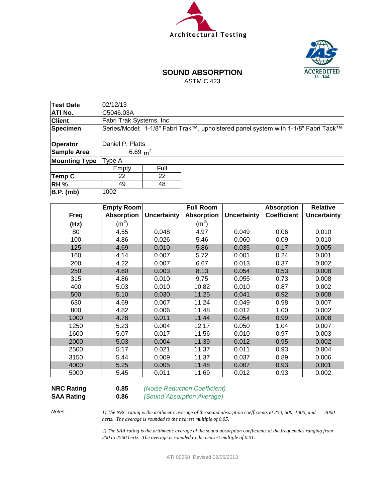



## **SOUND ABSORPTION**

ASTM C 423

| Test Date            | 02/12/13                 |      |                                                                                    |  |  |  |  |
|----------------------|--------------------------|------|------------------------------------------------------------------------------------|--|--|--|--|
| <b>ATI No.</b>       | C5046.03A                |      |                                                                                    |  |  |  |  |
| <b>Client</b>        | Fabri Trak Systems, Inc. |      |                                                                                    |  |  |  |  |
| Specimen             |                          |      | Series/Model: 1-1/8" Fabri Trak™, upholstered panel system with 1-1/8" Fabri Tack™ |  |  |  |  |
|                      |                          |      |                                                                                    |  |  |  |  |
| Operator             | Daniel P. Platts         |      |                                                                                    |  |  |  |  |
| Sample Area          | 6.69 $m^2$               |      |                                                                                    |  |  |  |  |
| <b>Mounting Type</b> | Type A                   |      |                                                                                    |  |  |  |  |
|                      | Empty                    | Full |                                                                                    |  |  |  |  |
| Temp C               | 22                       | 22   |                                                                                    |  |  |  |  |
| <b>RH %</b>          | 48<br>49                 |      |                                                                                    |  |  |  |  |
| B.P. (mb)            | 1002                     |      |                                                                                    |  |  |  |  |

|             | Empty Room        |                    | <b>Full Room</b>  |                    | <b>Absorption</b>  | <b>Relative</b>    |
|-------------|-------------------|--------------------|-------------------|--------------------|--------------------|--------------------|
| <b>Freq</b> | <b>Absorption</b> | <b>Uncertainty</b> | <b>Absorption</b> | <b>Uncertainty</b> | <b>Coefficient</b> | <b>Uncertainty</b> |
| (Hz)        | (m <sup>2</sup> ) |                    | (m <sup>2</sup> ) |                    |                    |                    |
| 80          | 4.55              | 0.048              | 4.97              | 0.049              | 0.06               | 0.010              |
| 100         | 4.86              | 0.026              | 5.46              | 0.060              | 0.09               | 0.010              |
| 125         | 4.69              | 0.010              | 5.86              | 0.035              | 0.17               | 0.005              |
| 160         | 4.14              | 0.007              | 5.72              | 0.001              | 0.24               | 0.001              |
| 200         | 4.22              | 0.007              | 6.67              | 0.013              | 0.37               | 0.002              |
| 250         | 4.60              | 0.003              | 8.13              | 0.054              | 0.53               | 0.008              |
| 315         | 4.86              | 0.010              | 9.75              | 0.055              | 0.73               | 0.008              |
| 400         | 5.03              | 0.010              | 10.82             | 0.010              | 0.87               | 0.002              |
| 500         | 5.10              | 0.030              | 11.25             | 0.041              | 0.92               | 0.008              |
| 630         | 4.69              | 0.007              | 11.24             | 0.049              | 0.98               | 0.007              |
| 800         | 4.82              | 0.006              | 11.48             | 0.012              | 1.00               | 0.002              |
| 1000        | 4.78              | 0.011              | 11.44             | 0.054              | 0.99               | 0.008              |
| 1250        | 5.23              | 0.004              | 12.17             | 0.050              | 1.04               | 0.007              |
| 1600        | 5.07              | 0.017              | 11.56             | 0.010              | 0.97               | 0.003              |
| 2000        | 5.03              | 0.004              | 11.39             | 0.012              | 0.95               | 0.002              |
| 2500        | 5.17              | 0.021              | 11.37             | 0.011              | 0.93               | 0.004              |
| 3150        | 5.44              | 0.009              | 11.37             | 0.037              | 0.89               | 0.006              |
| 4000        | 5.25              | 0.005              | 11.48             | 0.007              | 0.93               | 0.001              |
| 5000        | 5.45              | 0.011              | 11.69             | 0.012              | 0.93               | 0.002              |

# **SAA Rating 0.86** *(Sound Absorption Average)*

**NRC Rating 0.85** *(Noise Reduction Coefficient)*

*Notes:*

*1) The NRC rating is the arithmetic average of the sound absorption coefficients at 250, 500, 1000, and 2000 hertz. The average is rounded to the nearest multiple of 0.05.*

*2) The SAA rating is the arithmetic average of the sound absorption coefficients at the frequencies ranging from 200 to 2500 hertz. The average is rounded to the nearest multiple of 0.01.*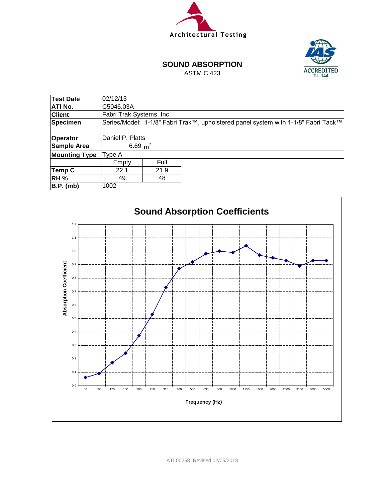



#### **SOUND ABSORPTION**

ASTM C 423

| Test Date            | 02/12/13                 |      |                                                                                    |  |  |  |  |
|----------------------|--------------------------|------|------------------------------------------------------------------------------------|--|--|--|--|
| ATI No.              | C5046.03A                |      |                                                                                    |  |  |  |  |
| <b>Client</b>        | Fabri Trak Systems, Inc. |      |                                                                                    |  |  |  |  |
| <b>Specimen</b>      |                          |      | Series/Model: 1-1/8" Fabri Trak™, upholstered panel system with 1-1/8" Fabri Tack™ |  |  |  |  |
|                      |                          |      |                                                                                    |  |  |  |  |
| Operator             | Daniel P. Platts         |      |                                                                                    |  |  |  |  |
| Sample Area          | 6.69 $m^2$               |      |                                                                                    |  |  |  |  |
| <b>Mounting Type</b> | Type A                   |      |                                                                                    |  |  |  |  |
|                      | Empty                    | Full |                                                                                    |  |  |  |  |
| Temp C               | 21.9<br>22.1             |      |                                                                                    |  |  |  |  |
| <b>RH %</b>          | 48<br>49                 |      |                                                                                    |  |  |  |  |
| B.P. (mb)            | 1002                     |      |                                                                                    |  |  |  |  |